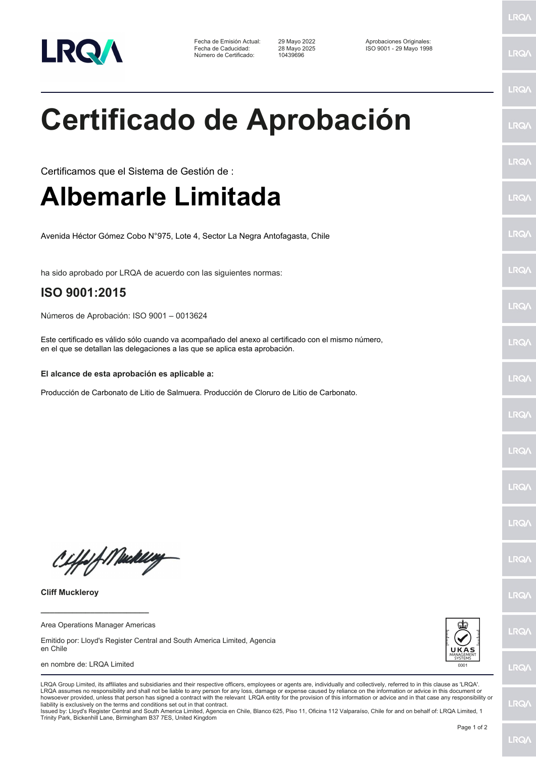

Fecha de Emisión Actual: 29 Mayo 2022 Aprobaciones Originales: Número de Certificado:

Fecha de Caducidad: 28 Mayo 2025 ISO 9001 - 29 Mayo 1998

LRQ/

LRQ/

LRQ/

LRQ/

## **Certificado de Aprobación**

LRQ/ Certificamos que el Sistema de Gestión de : **Albemarle Limitada** LRQ/ LRQ/ Avenida Héctor Gómez Cobo N°975, Lote 4, Sector La Negra Antofagasta, Chile LRQ/ ha sido aprobado por LRQA de acuerdo con las siguientes normas: **ISO 9001:2015 LRQA** Números de Aprobación: ISO 9001 – 0013624 Este certificado es válido sólo cuando va acompañado del anexo al certificado con el mismo número, LRQ/ en el que se detallan las delegaciones a las que se aplica esta aprobación. **El alcance de esta aprobación es aplicable a:** LRQ/ Producción de Carbonato de Litio de Salmuera. Producción de Cloruro de Litio de Carbonato.LRQ/ LRQ/ LRQ/ LRQ/ Ciffof Mackey **IRQA Cliff Muckleroy** LRQ/ **\_\_\_\_\_\_\_\_\_\_\_\_\_\_\_\_\_\_\_\_\_\_\_\_** Area Operations Manager Americas



## en nombre de: LRQA Limited



LRQ/

LRQ/

LRQ/

howsoever provided, unless that person has signed a contract with the relevant LRQA entity for the provision of this information or advice and in that case any responsibility or<br>liability is exclusively on the terms and co Issued by: Lloyd's Register Central and South America Limited, Agencia en Chile, Blanco 625, Piso 11, Oficina 112 Valparaíso, Chile for and on behalf of: LRQA Limited, 1 Trinity Park, Bickenhill Lane, Birmingham B37 7ES, United Kingdom

LRQA Group Limited, its affiliates and subsidiaries and their respective officers, employees or agents are, individually and collectively, referred to in this clause as 'LRQA'. LRQA assumes no responsibility and shall not be liable to any person for any loss, damage or expense caused by reliance on the information or advice in this document or